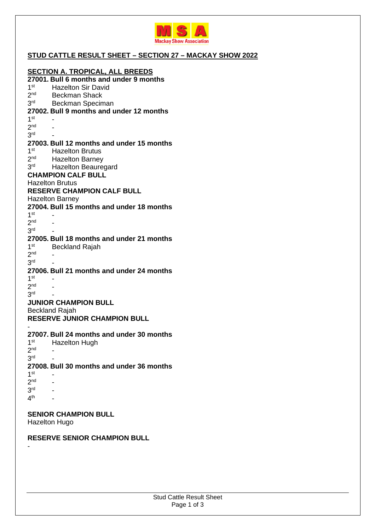

### **STUD CATTLE RESULT SHEET – SECTION 27 – MACKAY SHOW 2022**

#### **SECTION A. TROPICAL, ALL BREEDS 27001. Bull 6 months and under 9 months**   $1<sup>st</sup>$ Hazelton Sir David  $2<sub>nd</sub>$ Beckman Shack 3<sup>rd</sup> Beckman Speciman **27002. Bull 9 months and under 12 months**  1 st  $\sim$  -  $\sim$ 2 nd - 3 rd - **27003. Bull 12 months and under 15 months**   $1<sup>st</sup>$ **Hazelton Brutus**  $2<sup>nd</sup>$ Hazelton Barney  $3<sup>rd</sup>$ Hazelton Beauregard **CHAMPION CALF BULL**  Hazelton Brutus **RESERVE CHAMPION CALF BULL**  Hazelton Barney **27004. Bull 15 months and under 18 months**  1 st  $\sim$  -  $\sim$ 2 nd - 3 rd  $\sim$  -  $\sim$ **27005. Bull 18 months and under 21 months**   $1<sup>st</sup>$ **Beckland Rajah** 2 nd - 3 rd  $\sim$  -  $\sim$ **27006. Bull 21 months and under 24 months**  1 st  $\sim$  -  $\sim$ 2 nd - 3 rd  $\sim$  -  $\sim$

#### **JUNIOR CHAMPION BULL**

Beckland Rajah

-

-

**RESERVE JUNIOR CHAMPION BULL** 

#### **27007. Bull 24 months and under 30 months**

| 1 <sup>st</sup> | <b>Hazelton Hugh</b>                      |
|-----------------|-------------------------------------------|
| 2 <sub>nd</sub> |                                           |
| 3 <sup>rd</sup> |                                           |
|                 | 27008. Bull 30 months and under 36 months |
| 1 <sup>st</sup> |                                           |
| 2 <sub>nd</sub> |                                           |
| 3 <sup>rd</sup> |                                           |
| 4 <sup>th</sup> |                                           |

#### **SENIOR CHAMPION BULL**

Hazelton Hugo

#### **RESERVE SENIOR CHAMPION BULL**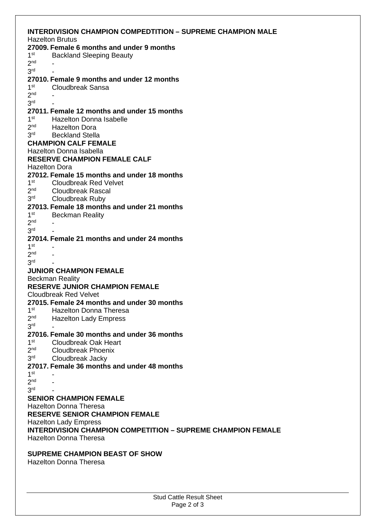|                                                                     | <b>INTERDIVISION CHAMPION COMPEDTITION - SUPREME CHAMPION MALE</b> |  |  |
|---------------------------------------------------------------------|--------------------------------------------------------------------|--|--|
|                                                                     | <b>Hazelton Brutus</b>                                             |  |  |
|                                                                     | 27009. Female 6 months and under 9 months                          |  |  |
| 1 <sup>st</sup>                                                     | <b>Backland Sleeping Beauty</b>                                    |  |  |
| 2 <sub>nd</sub>                                                     |                                                                    |  |  |
| 3 <sup>rd</sup>                                                     |                                                                    |  |  |
|                                                                     | 27010. Female 9 months and under 12 months                         |  |  |
| 1 <sup>st</sup>                                                     | <b>Cloudbreak Sansa</b>                                            |  |  |
| 2 <sub>nd</sub>                                                     |                                                                    |  |  |
| 3 <sup>rd</sup>                                                     |                                                                    |  |  |
|                                                                     | 27011. Female 12 months and under 15 months                        |  |  |
| 1 <sup>st</sup>                                                     | <b>Hazelton Donna Isabelle</b>                                     |  |  |
| 2 <sup>nd</sup>                                                     | <b>Hazelton Dora</b>                                               |  |  |
| 3 <sup>rd</sup>                                                     | <b>Beckland Stella</b>                                             |  |  |
| <b>CHAMPION CALF FEMALE</b>                                         |                                                                    |  |  |
| Hazelton Donna Isabella                                             |                                                                    |  |  |
|                                                                     | <b>RESERVE CHAMPION FEMALE CALF</b>                                |  |  |
|                                                                     | <b>Hazelton Dora</b>                                               |  |  |
|                                                                     | 27012. Female 15 months and under 18 months                        |  |  |
| 1 <sup>st</sup>                                                     | <b>Cloudbreak Red Velvet</b>                                       |  |  |
| 2 <sup>nd</sup>                                                     | <b>Cloudbreak Rascal</b>                                           |  |  |
| 3 <sup>rd</sup>                                                     | <b>Cloudbreak Ruby</b>                                             |  |  |
|                                                                     | 27013. Female 18 months and under 21 months                        |  |  |
| 1 <sup>st</sup>                                                     | <b>Beckman Reality</b>                                             |  |  |
| 2 <sub>nd</sub>                                                     |                                                                    |  |  |
| 3 <sup>rd</sup>                                                     |                                                                    |  |  |
|                                                                     | 27014. Female 21 months and under 24 months                        |  |  |
| 1 <sup>st</sup>                                                     |                                                                    |  |  |
| 2 <sub>nd</sub>                                                     |                                                                    |  |  |
| 3 <sup>rd</sup>                                                     |                                                                    |  |  |
|                                                                     | <b>JUNIOR CHAMPION FEMALE</b>                                      |  |  |
|                                                                     | <b>Beckman Reality</b>                                             |  |  |
| <b>RESERVE JUNIOR CHAMPION FEMALE</b>                               |                                                                    |  |  |
| <b>Cloudbreak Red Velvet</b>                                        |                                                                    |  |  |
|                                                                     | 27015. Female 24 months and under 30 months                        |  |  |
|                                                                     | 1 <sup>st</sup> Hazelton Donna Theresa                             |  |  |
| 2 <sub>nd</sub>                                                     | <b>Hazelton Lady Empress</b>                                       |  |  |
| 3 <sup>rd</sup>                                                     |                                                                    |  |  |
|                                                                     | 27016. Female 30 months and under 36 months                        |  |  |
| 1 <sup>st</sup>                                                     | Cloudbreak Oak Heart                                               |  |  |
| 2 <sub>nd</sub>                                                     | <b>Cloudbreak Phoenix</b>                                          |  |  |
| 3 <sup>rd</sup>                                                     | Cloudbreak Jacky                                                   |  |  |
|                                                                     | 27017. Female 36 months and under 48 months                        |  |  |
| 1 <sup>st</sup>                                                     |                                                                    |  |  |
| 2 <sub>nd</sub>                                                     |                                                                    |  |  |
| 3 <sup>rd</sup>                                                     |                                                                    |  |  |
| <b>SENIOR CHAMPION FEMALE</b>                                       |                                                                    |  |  |
| <b>Hazelton Donna Theresa</b>                                       |                                                                    |  |  |
| <b>RESERVE SENIOR CHAMPION FEMALE</b>                               |                                                                    |  |  |
| <b>Hazelton Lady Empress</b>                                        |                                                                    |  |  |
| <b>INTERDIVISION CHAMPION COMPETITION - SUPREME CHAMPION FEMALE</b> |                                                                    |  |  |
| <b>Hazelton Donna Theresa</b>                                       |                                                                    |  |  |
|                                                                     |                                                                    |  |  |
|                                                                     | <b>SUPREME CHAMPION BEAST OF SHOW</b>                              |  |  |
|                                                                     | <b>Hazelton Donna Theresa</b>                                      |  |  |
|                                                                     |                                                                    |  |  |